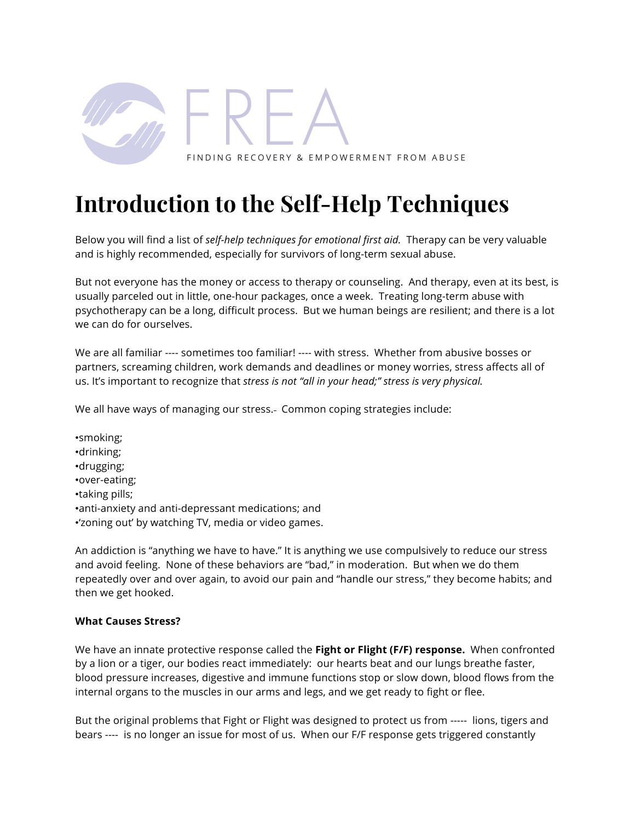

# **Introduction to the Self-Help Techniques**

Below you will find a list of *self-help techniques for emotional first aid.* Therapy can be very valuable and is highly recommended, especially for survivors of long-term sexual abuse.

But not everyone has the money or access to therapy or counseling. And therapy, even at its best, is usually parceled out in little, one-hour packages, once a week. Treating long-term abuse with psychotherapy can be a long, difficult process. But we human beings are resilient; and there is a lot we can do for ourselves.

We are all familiar ---- sometimes too familiar! ---- with stress. Whether from abusive bosses or partners, screaming children, work demands and deadlines or money worries, stress affects all of us. It's important to recognize that *stress is not "all in your head;" stress is very physical.*

We all have ways of managing our stress. Common coping strategies include:

•smoking; •drinking; •drugging; •over-eating; •taking pills; •anti-anxiety and anti-depressant medications; and •'zoning out' by watching TV, media or video games.

An addiction is "anything we have to have." It is anything we use compulsively to reduce our stress and avoid feeling. None of these behaviors are "bad," in moderation. But when we do them repeatedly over and over again, to avoid our pain and "handle our stress," they become habits; and then we get hooked.

## **What Causes Stress?**

We have an innate protective response called the **Fight or Flight (F/F) response.** When confronted by a lion or a tiger, our bodies react immediately: our hearts beat and our lungs breathe faster, blood pressure increases, digestive and immune functions stop or slow down, blood flows from the internal organs to the muscles in our arms and legs, and we get ready to fight or flee.

But the original problems that Fight or Flight was designed to protect us from ----- lions, tigers and bears ---- is no longer an issue for most of us. When our F/F response gets triggered constantly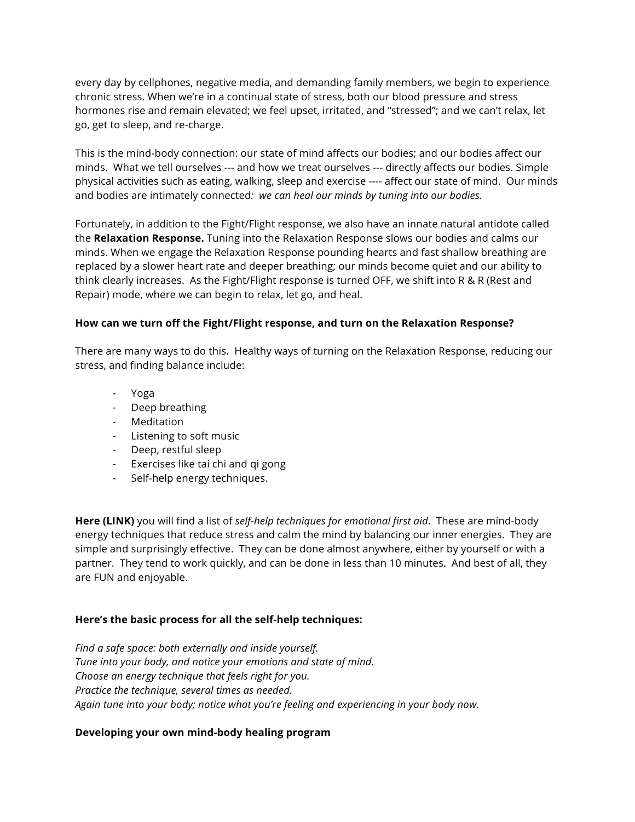every day by cellphones, negative media, and demanding family members, we begin to experience chronic stress. When we're in a continual state of stress, both our blood pressure and stress hormones rise and remain elevated; we feel upset, irritated, and "stressed"; and we can't relax, let go, get to sleep, and re-charge.

This is the mind-body connection: our state of mind affects our bodies; and our bodies affect our minds. What we tell ourselves --- and how we treat ourselves --- directly affects our bodies. Simple physical activities such as eating, walking, sleep and exercise ---- affect our state of mind. Our minds and bodies are intimately connected*: we can heal our minds by tuning into our bodies.*

Fortunately, in addition to the Fight/Flight response, we also have an innate natural antidote called the **Relaxation Response.** Tuning into the Relaxation Response slows our bodies and calms our minds. When we engage the Relaxation Response pounding hearts and fast shallow breathing are replaced by a slower heart rate and deeper breathing; our minds become quiet and our ability to think clearly increases. As the Fight/Flight response is turned OFF, we shift into R & R (Rest and Repair) mode, where we can begin to relax, let go, and heal.

### **How can we turn off the Fight/Flight response, and turn on the Relaxation Response?**

There are many ways to do this. Healthy ways of turning on the Relaxation Response, reducing our stress, and finding balance include:

- Yoga
- Deep breathing
- Meditation
- Listening to soft music
- Deep, restful sleep
- Exercises like tai chi and qi gong
- Self-help energy techniques.

**Here (LINK)** you will find a list of *self-help techniques for emotional first aid*. These are mind-body energy techniques that reduce stress and calm the mind by balancing our inner energies. They are simple and surprisingly effective. They can be done almost anywhere, either by yourself or with a partner. They tend to work quickly, and can be done in less than 10 minutes. And best of all, they are FUN and enjoyable.

### **Here's the basic process for all the self-help techniques:**

*Find a safe space: both externally and inside yourself. Tune into your body, and notice your emotions and state of mind. Choose an energy technique that feels right for you. Practice the technique, several times as needed. Again tune into your body; notice what you're feeling and experiencing in your body now.*

### **Developing your own mind-body healing program**